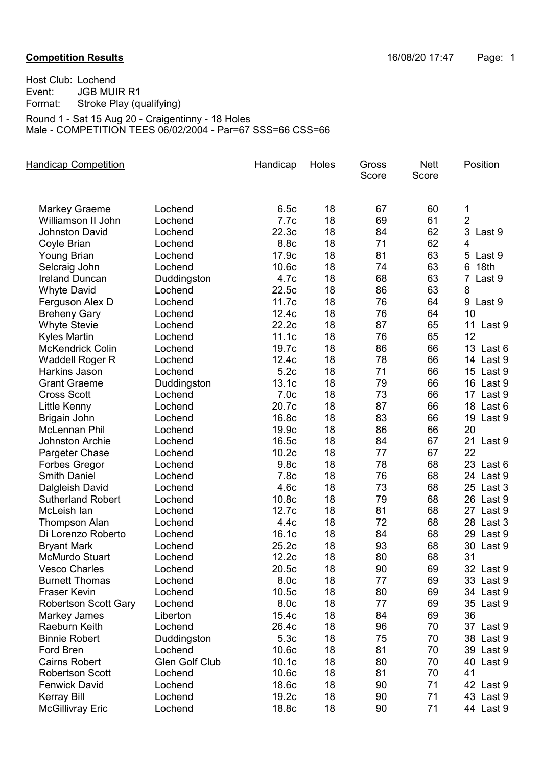## **Competition Results Competition Results 16/08/20 17:47** Page: 1

Host Club: Lochend<br>Event: JGB MUI Event: JGB MUIR R1<br>Format: Stroke Play (qu Stroke Play (qualifying) Round 1 - Sat 15 Aug 20 - Craigentinny - 18 Holes

Male - COMPETITION TEES 06/02/2004 - Par=67 SSS=66 CSS=66

| <b>Handicap Competition</b>                |                       | Handicap          | Holes | Gross<br>Score | <b>Nett</b><br>Score | Position       |
|--------------------------------------------|-----------------------|-------------------|-------|----------------|----------------------|----------------|
| <b>Markey Graeme</b>                       | Lochend               | 6.5c              | 18    | 67             | 60                   | 1              |
| Williamson II John                         | Lochend               | 7.7c              | 18    | 69             | 61                   | $\overline{2}$ |
| Johnston David                             | Lochend               | 22.3c             | 18    | 84             | 62                   | 3 Last 9       |
| Coyle Brian                                | Lochend               | 8.8c              | 18    | 71             | 62                   | $\overline{4}$ |
| <b>Young Brian</b>                         | Lochend               | 17.9c             | 18    | 81             | 63                   | 5 Last 9       |
| Selcraig John                              | Lochend               | 10.6 <sub>c</sub> | 18    | 74             | 63                   | 18th<br>6      |
| <b>Ireland Duncan</b>                      | Duddingston           | 4.7c              | 18    | 68             | 63                   | 7 Last 9       |
| <b>Whyte David</b>                         | Lochend               | 22.5c             | 18    | 86             | 63                   | 8              |
|                                            | Lochend               | 11.7c             | 18    | 76             | 64                   | 9 Last 9       |
| Ferguson Alex D                            | Lochend               | 12.4c             | 18    | 76             | 64                   | 10             |
| <b>Breheny Gary</b>                        | Lochend               | 22.2c             | 18    | 87             | 65                   | 11 Last 9      |
| <b>Whyte Stevie</b><br><b>Kyles Martin</b> | Lochend               | 11.1c             | 18    | 76             | 65                   | 12             |
| <b>McKendrick Colin</b>                    | Lochend               | 19.7c             | 18    | 86             | 66                   | 13 Last 6      |
|                                            |                       |                   |       |                |                      |                |
| Waddell Roger R                            | Lochend               | 12.4c             | 18    | 78             | 66                   | 14 Last 9      |
| Harkins Jason                              | Lochend               | 5.2c              | 18    | 71             | 66                   | 15 Last 9      |
| <b>Grant Graeme</b>                        | Duddingston           | 13.1c             | 18    | 79             | 66                   | 16 Last 9      |
| <b>Cross Scott</b>                         | Lochend               | 7.0 <sub>c</sub>  | 18    | 73             | 66                   | 17 Last 9      |
| Little Kenny                               | Lochend               | 20.7c             | 18    | 87             | 66                   | 18 Last 6      |
| Brigain John                               | Lochend               | 16.8c             | 18    | 83             | 66                   | 19 Last 9      |
| McLennan Phil                              | Lochend               | 19.9c             | 18    | 86             | 66                   | 20             |
| <b>Johnston Archie</b>                     | Lochend               | 16.5c             | 18    | 84             | 67                   | 21 Last 9      |
| Pargeter Chase                             | Lochend               | 10.2 <sub>c</sub> | 18    | 77             | 67                   | 22             |
| <b>Forbes Gregor</b>                       | Lochend               | 9.8c              | 18    | 78             | 68                   | 23 Last 6      |
| <b>Smith Daniel</b>                        | Lochend               | 7.8c              | 18    | 76             | 68                   | 24 Last 9      |
| Dalgleish David                            | Lochend               | 4.6c              | 18    | 73             | 68                   | 25 Last 3      |
| <b>Sutherland Robert</b>                   | Lochend               | 10.8c             | 18    | 79             | 68                   | 26 Last 9      |
| McLeish lan                                | Lochend               | 12.7c             | 18    | 81             | 68                   | 27 Last 9      |
| <b>Thompson Alan</b>                       | Lochend               | 4.4c              | 18    | 72             | 68                   | 28 Last 3      |
| Di Lorenzo Roberto                         | Lochend               | 16.1c             | 18    | 84             | 68                   | Last 9<br>29   |
| <b>Bryant Mark</b>                         | Lochend               | 25.2c             | 18    | 93             | 68                   | 30 Last 9      |
| <b>McMurdo Stuart</b>                      | Lochend               | 12.2c             | 18    | 80             | 68                   | 31             |
| <b>Vesco Charles</b>                       | Lochend               | 20.5c             | 18    | 90             | 69                   | 32 Last 9      |
| <b>Burnett Thomas</b>                      | Lochend               | 8.0 <sub>c</sub>  | 18    | 77             | 69                   | 33 Last 9      |
| <b>Fraser Kevin</b>                        | Lochend               | 10.5c             | 18    | 80             | 69                   | 34 Last 9      |
| <b>Robertson Scott Gary</b>                | Lochend               | 8.0c              | 18    | 77             | 69                   | 35 Last 9      |
| Markey James                               | Liberton              | 15.4c             | 18    | 84             | 69                   | 36             |
| Raeburn Keith                              | Lochend               | 26.4c             | 18    | 96             | 70                   | 37 Last 9      |
| <b>Binnie Robert</b>                       | Duddingston           | 5.3c              | 18    | 75             | 70                   | 38 Last 9      |
| Ford Bren                                  | Lochend               | 10.6 <sub>c</sub> | 18    | 81             | 70                   | 39 Last 9      |
| <b>Cairns Robert</b>                       | <b>Glen Golf Club</b> | 10.1 <sub>c</sub> | 18    | 80             | 70                   | 40 Last 9      |
| <b>Robertson Scott</b>                     | Lochend               | 10.6 <sub>c</sub> | 18    | 81             | 70                   | 41             |
| <b>Fenwick David</b>                       | Lochend               | 18.6c             | 18    | 90             | 71                   | 42 Last 9      |
| <b>Kerray Bill</b>                         | Lochend               | 19.2c             | 18    | 90             | 71                   | 43 Last 9      |
| <b>McGillivray Eric</b>                    | Lochend               | 18.8c             | 18    | 90             | 71                   | 44 Last 9      |